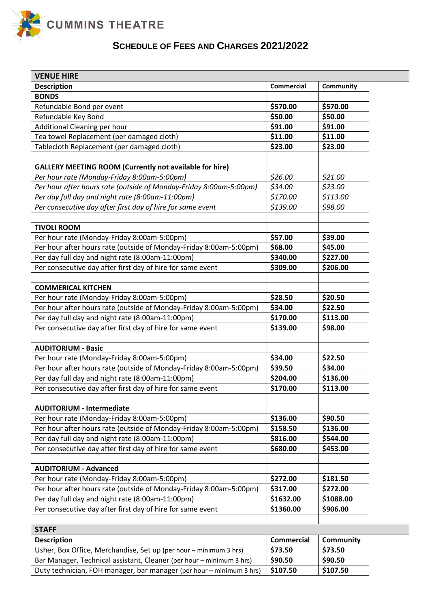

# **SCHEDULE OF FEES AND CHARGES 2021/2022**

| <b>Description</b>                                                                                             | <b>Commercial</b> | Community |
|----------------------------------------------------------------------------------------------------------------|-------------------|-----------|
| <b>BONDS</b>                                                                                                   |                   |           |
| Refundable Bond per event                                                                                      | \$570.00          | \$570.00  |
| Refundable Key Bond                                                                                            | \$50.00           | \$50.00   |
| Additional Cleaning per hour                                                                                   | \$91.00           | \$91.00   |
| Tea towel Replacement (per damaged cloth)                                                                      | \$11.00           | \$11.00   |
| Tablecloth Replacement (per damaged cloth)                                                                     | \$23.00           | \$23.00   |
|                                                                                                                |                   |           |
| <b>GALLERY MEETING ROOM (Currently not available for hire)</b>                                                 |                   |           |
| Per hour rate (Monday-Friday 8:00am-5:00pm)                                                                    | \$26.00           | \$21.00   |
| Per hour after hours rate (outside of Monday-Friday 8:00am-5:00pm)                                             | \$34.00           | \$23.00   |
| Per day full day and night rate (8:00am-11:00pm)                                                               | \$170.00          | \$113.00  |
| Per consecutive day after first day of hire for same event                                                     | \$139.00          | \$98.00   |
|                                                                                                                |                   |           |
| <b>TIVOLI ROOM</b>                                                                                             |                   |           |
| Per hour rate (Monday-Friday 8:00am-5:00pm)                                                                    | \$57.00           | \$39.00   |
| Per hour after hours rate (outside of Monday-Friday 8:00am-5:00pm)                                             | \$68.00           | \$45.00   |
| Per day full day and night rate (8:00am-11:00pm)                                                               | \$340.00          | \$227.00  |
| Per consecutive day after first day of hire for same event                                                     | \$309.00          | \$206.00  |
|                                                                                                                |                   |           |
| <b>COMMERICAL KITCHEN</b>                                                                                      |                   |           |
| Per hour rate (Monday-Friday 8:00am-5:00pm)                                                                    | \$28.50           | \$20.50   |
| Per hour after hours rate (outside of Monday-Friday 8:00am-5:00pm)                                             | \$34.00           | \$22.50   |
| Per day full day and night rate (8:00am-11:00pm)                                                               | \$170.00          | \$113.00  |
| Per consecutive day after first day of hire for same event                                                     | \$139.00          | \$98.00   |
|                                                                                                                |                   |           |
| <b>AUDITORIUM - Basic</b>                                                                                      |                   |           |
| Per hour rate (Monday-Friday 8:00am-5:00pm)                                                                    | \$34.00           | \$22.50   |
| Per hour after hours rate (outside of Monday-Friday 8:00am-5:00pm)                                             | \$39.50           | \$34.00   |
| Per day full day and night rate (8:00am-11:00pm)                                                               | \$204.00          | \$136.00  |
| Per consecutive day after first day of hire for same event                                                     | \$170.00          | \$113.00  |
|                                                                                                                |                   |           |
| <b>AUDITORIUM - Intermediate</b>                                                                               |                   |           |
| Per hour rate (Monday-Friday 8:00am-5:00pm)                                                                    | \$136.00          | \$90.50   |
| Per hour after hours rate (outside of Monday-Friday 8:00am-5:00pm)                                             | \$158.50          | \$136.00  |
| Per day full day and night rate (8:00am-11:00pm)                                                               | \$816.00          | \$544.00  |
| Per consecutive day after first day of hire for same event                                                     | \$680.00          | \$453.00  |
|                                                                                                                |                   |           |
| <b>AUDITORIUM - Advanced</b>                                                                                   |                   |           |
| Per hour rate (Monday-Friday 8:00am-5:00pm)                                                                    | \$272.00          | \$181.50  |
| Per hour after hours rate (outside of Monday-Friday 8:00am-5:00pm)                                             | \$317.00          | \$272.00  |
| Per day full day and night rate (8:00am-11:00pm)<br>Per consecutive day after first day of hire for same event | \$1632.00         | \$1088.00 |
|                                                                                                                | \$1360.00         | \$906.00  |

| <b>Description</b>                                                                          | <b>Commercial</b> | <b>Community</b> |
|---------------------------------------------------------------------------------------------|-------------------|------------------|
| Usher, Box Office, Merchandise, Set up (per hour – minimum 3 hrs)                           | \$73.50           | \$73.50          |
| Bar Manager, Technical assistant, Cleaner (per hour – minimum 3 hrs)                        | \$90.50           | \$90.50          |
| Duty technician, FOH manager, bar manager (per hour – minimum 3 hrs) $\frac{1}{2}$ \$107.50 |                   | \$107.50         |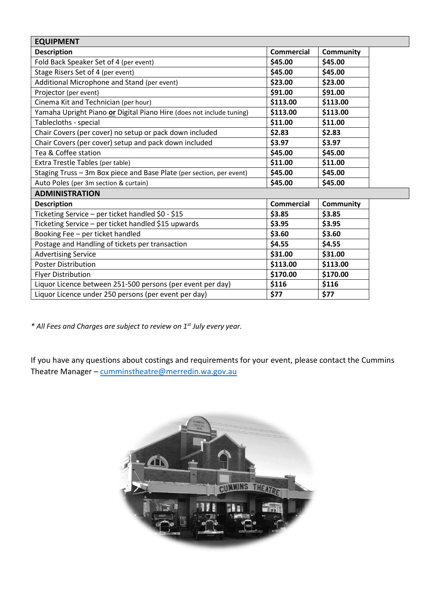| <b>EQUIPMENT</b>                                                     |                   |                  |
|----------------------------------------------------------------------|-------------------|------------------|
| <b>Description</b>                                                   | <b>Commercial</b> | <b>Community</b> |
| Fold Back Speaker Set of 4 (per event)                               | \$45.00           | \$45.00          |
| Stage Risers Set of 4 (per event)                                    | \$45.00           | \$45.00          |
| Additional Microphone and Stand (per event)                          | \$23.00           | \$23.00          |
| Projector (per event)                                                | \$91.00           | \$91.00          |
| Cinema Kit and Technician (per hour)                                 | \$113.00          | \$113.00         |
| Yamaha Upright Piano or Digital Piano Hire (does not include tuning) | \$113.00          | \$113.00         |
| Tablecloths - special                                                | \$11.00           | \$11.00          |
| Chair Covers (per cover) no setup or pack down included              | \$2.83            | \$2.83           |
| Chair Covers (per cover) setup and pack down included                | \$3.97            | \$3.97           |
| Tea & Coffee station                                                 | \$45.00           | \$45.00          |
| Extra Trestle Tables (per table)                                     | \$11.00           | \$11.00          |
| Staging Truss - 3m Box piece and Base Plate (per section, per event) | \$45.00           | \$45.00          |
| Auto Poles (per 3m section & curtain)                                | \$45.00           | \$45.00          |
| <b>ADMINISTRATION</b>                                                |                   |                  |
| <b>Description</b>                                                   | <b>Commercial</b> | Community        |
| Ticketing Service - per ticket handled \$0 - \$15                    | \$3.85            | \$3.85           |
| Ticketing Service - per ticket handled \$15 upwards                  | \$3.95            | \$3.95           |
| Booking Fee - per ticket handled                                     | \$3.60            | \$3.60           |
| Postage and Handling of tickets per transaction                      | \$4.55            | \$4.55           |
| <b>Advertising Service</b>                                           | \$31.00           | \$31.00          |
| <b>Poster Distribution</b>                                           | \$113.00          | \$113.00         |
| <b>Flyer Distribution</b>                                            | \$170.00          | \$170.00         |
| Liquor Licence between 251-500 persons (per event per day)           | \$116             | \$116            |
| Liquor Licence under 250 persons (per event per day)                 | \$77              | \$77             |

*\* All Fees and Charges are subject to review on 1st July every year.*

If you have any questions about costings and requirements for your event, please contact the Cummins Theatre Manager – [cumminstheatre@merredin.wa.gov.au](mailto:cumminstheatre@merredin.wa.gov.au)

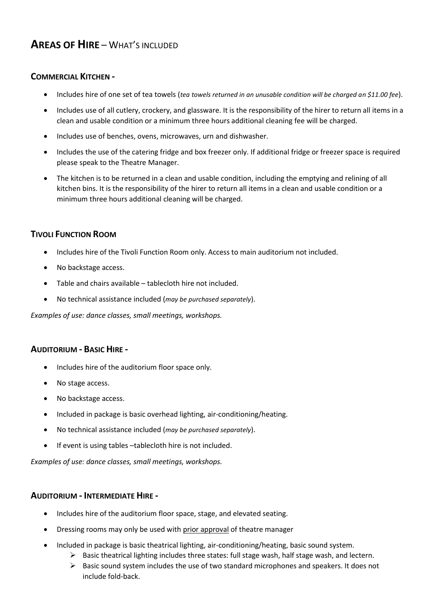## **AREAS OF HIRE** – WHAT'S INCLUDED

### **COMMERCIAL KITCHEN -**

- Includes hire of one set of tea towels (*tea towels returned in an unusable condition will be charged an \$11.00 fee*).
- Includes use of all cutlery, crockery, and glassware. It is the responsibility of the hirer to return all items in a clean and usable condition or a minimum three hours additional cleaning fee will be charged.
- Includes use of benches, ovens, microwaves, urn and dishwasher.
- Includes the use of the catering fridge and box freezer only. If additional fridge or freezer space is required please speak to the Theatre Manager.
- The kitchen is to be returned in a clean and usable condition, including the emptying and relining of all kitchen bins. It is the responsibility of the hirer to return all items in a clean and usable condition or a minimum three hours additional cleaning will be charged.

## **TIVOLI FUNCTION ROOM**

- Includes hire of the Tivoli Function Room only. Access to main auditorium not included.
- No backstage access.
- Table and chairs available tablecloth hire not included.
- No technical assistance included (*may be purchased separately*).

*Examples of use: dance classes, small meetings, workshops.*

## **AUDITORIUM - BASIC HIRE -**

- Includes hire of the auditorium floor space only.
- No stage access.
- No backstage access.
- Included in package is basic overhead lighting, air-conditioning/heating.
- No technical assistance included (*may be purchased separately*).
- If event is using tables -tablecloth hire is not included.

*Examples of use: dance classes, small meetings, workshops.*

#### **AUDITORIUM - INTERMEDIATE HIRE -**

- Includes hire of the auditorium floor space, stage, and elevated seating.
- Dressing rooms may only be used with prior approval of theatre manager
- Included in package is basic theatrical lighting, air-conditioning/heating, basic sound system.
	- $\triangleright$  Basic theatrical lighting includes three states: full stage wash, half stage wash, and lectern.
	- ➢ Basic sound system includes the use of two standard microphones and speakers. It does not include fold-back.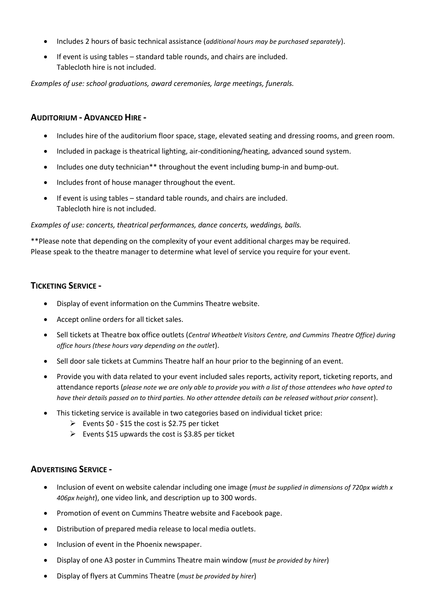- Includes 2 hours of basic technical assistance (*additional hours may be purchased separately*).
- If event is using tables standard table rounds, and chairs are included. Tablecloth hire is not included.

*Examples of use: school graduations, award ceremonies, large meetings, funerals.*

### **AUDITORIUM - ADVANCED HIRE -**

- Includes hire of the auditorium floor space, stage, elevated seating and dressing rooms, and green room.
- Included in package is theatrical lighting, air-conditioning/heating, advanced sound system.
- Includes one duty technician\*\* throughout the event including bump-in and bump-out.
- Includes front of house manager throughout the event.
- If event is using tables standard table rounds, and chairs are included. Tablecloth hire is not included.

#### *Examples of use: concerts, theatrical performances, dance concerts, weddings, balls.*

\*\*Please note that depending on the complexity of your event additional charges may be required. Please speak to the theatre manager to determine what level of service you require for your event.

## **TICKETING SERVICE -**

- Display of event information on the Cummins Theatre website.
- Accept online orders for all ticket sales.
- Sell tickets at Theatre box office outlets (*Central Wheatbelt Visitors Centre, and Cummins Theatre Office) during office hours (these hours vary depending on the outlet*).
- Sell door sale tickets at Cummins Theatre half an hour prior to the beginning of an event.
- Provide you with data related to your event included sales reports, activity report, ticketing reports, and attendance reports (*please note we are only able to provide you with a list of those attendees who have opted to have their details passed on to third parties. No other attendee details can be released without prior consent*).
- This ticketing service is available in two categories based on individual ticket price:
	- $\triangleright$  Events \$0 \$15 the cost is \$2.75 per ticket
	- $\triangleright$  Events \$15 upwards the cost is \$3.85 per ticket

#### **ADVERTISING SERVICE -**

- Inclusion of event on website calendar including one image (*must be supplied in dimensions of 720px width x 406px height*), one video link, and description up to 300 words.
- Promotion of event on Cummins Theatre website and Facebook page.
- Distribution of prepared media release to local media outlets.
- Inclusion of event in the Phoenix newspaper.
- Display of one A3 poster in Cummins Theatre main window (*must be provided by hirer*)
- Display of flyers at Cummins Theatre (*must be provided by hirer*)